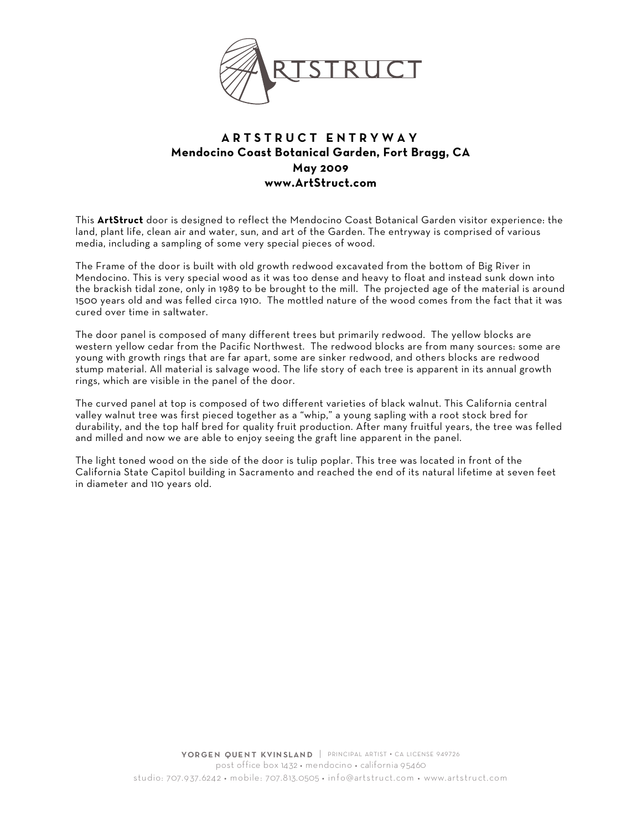

## **ARTSTRUCT ENTRYWAY Mendocino Coast Botanical Garden, Fort Bragg, CA May 2009 www.ArtStruct.com**

This **ArtStruct** door is designed to reflect the Mendocino Coast Botanical Garden visitor experience: the land, plant life, clean air and water, sun, and art of the Garden. The entryway is comprised of various media, including a sampling of some very special pieces of wood.

The Frame of the door is built with old growth redwood excavated from the bottom of Big River in Mendocino. This is very special wood as it was too dense and heavy to float and instead sunk down into the brackish tidal zone, only in 1989 to be brought to the mill. The projected age of the material is around 1500 years old and was felled circa 1910. The mottled nature of the wood comes from the fact that it was cured over time in saltwater.

The door panel is composed of many different trees but primarily redwood. The yellow blocks are western yellow cedar from the Pacific Northwest. The redwood blocks are from many sources: some are young with growth rings that are far apart, some are sinker redwood, and others blocks are redwood stump material. All material is salvage wood. The life story of each tree is apparent in its annual growth rings, which are visible in the panel of the door.

The curved panel at top is composed of two different varieties of black walnut. This California central valley walnut tree was first pieced together as a "whip," a young sapling with a root stock bred for durability, and the top half bred for quality fruit production. After many fruitful years, the tree was felled and milled and now we are able to enjoy seeing the graft line apparent in the panel.

The light toned wood on the side of the door is tulip poplar. This tree was located in front of the California State Capitol building in Sacramento and reached the end of its natural lifetime at seven feet in diameter and 110 years old.